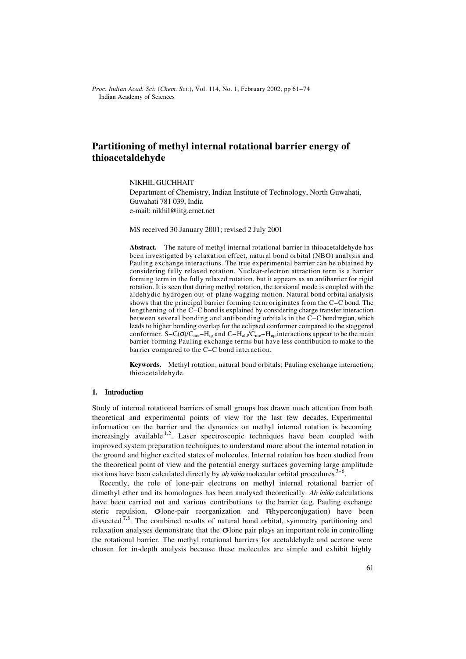*Proc. Indian Acad. Sci.* (*Chem. Sci.*), Vol. 114, No. 1, February 2002, pp 61–74  $©$  Indian Academy of Sciences

# **Partitioning of methyl internal rotational barrier energy of thioacetaldehyde**

NIKHIL GUCHHAIT

Department of Chemistry, Indian Institute of Technology, North Guwahati, Guwahati 781 039, India e-mail: nikhil@iitg.ernet.net

MS received 30 January 2001; revised 2 July 2001

**Abstract.** The nature of methyl internal rotational barrier in thioacetaldehyde has been investigated by relaxation effect, natural bond orbital (NBO) analysis and Pauling exchange interactions. The true experimental barrier can be obtained by considering fully relaxed rotation. Nuclear-electron attraction term is a barrier forming term in the fully relaxed rotation, but it appears as an antibarrier for rigid rotation. It is seen that during methyl rotation, the torsional mode is coupled with the aldehydic hydrogen out-of-plane wagging motion. Natural bond orbital analysis shows that the principal barrier forming term originates from the C–C bond. The lengthening of the C–C bond is explained by considering charge transfer interaction between several bonding and antibonding orbitals in the C–C bond region, which leads to higher bonding overlap for the eclipsed conformer compared to the staggered conformer. S–C( $\sigma$ )/C<sub>me</sub>–H<sub>ip</sub> and C–H<sub>ald</sub>/C<sub>me</sub>–H<sub>op</sub> interactions appear to be the main barrier-forming Pauling exchange terms but have less contribution to make to the barrier compared to the C–C bond interaction.

**Keywords.** Methyl rotation; natural bond orbitals; Pauling exchange interaction; thioacetaldehyde.

### **1. Introduction**

Study of internal rotational barriers of small groups has drawn much attention from both theoretical and experimental points of view for the last few decades. Experimental information on the barrier and the dynamics on methyl internal rotation is becoming increasingly available  $1,2$ . Laser spectroscopic techniques have been coupled with improved system preparation techniques to understand more about the internal rotation in the ground and higher excited states of molecules. Internal rotation has been studied from the theoretical point of view and the potential energy surfaces governing large amplitude motions have been calculated directly by *ab initio* molecular orbital procedures <sup>3-6</sup>.

Recently, the role of lone-pair electrons on methyl internal rotational barrier of dimethyl ether and its homologues has been analysed theoretically. *Ab initio* calculations have been carried out and various contributions to the barrier (e.g. Pauling exchange steric repulsion,  $\sigma$ lone-pair reorganization and  $\pi$ hyperconjugation) have been dissected  $\frac{7}{8}$ . The combined results of natural bond orbital, symmetry partitioning and relaxation analyses demonstrate that the  $\sigma$ lone pair plays an important role in controlling the rotational barrier. The methyl rotational barriers for acetaldehyde and acetone were chosen for in-depth analysis because these molecules are simple and exhibit highly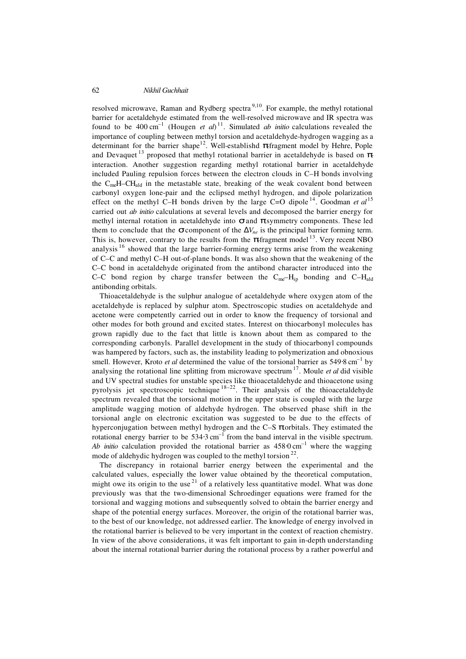resolved microwave, Raman and Rydberg spectra<sup>9,10</sup>. For example, the methyl rotational barrier for acetaldehyde estimated from the well-resolved microwave and IR spectra was found to be  $400 \text{ cm}^{-1}$  (Hougen *et al*)<sup>11</sup>. Simulated *ab initio* calculations revealed the importance of coupling between methyl torsion and acetaldehyde-hydrogen wagging as a determinant for the barrier shape<sup>12</sup>. Well-establishd π-fragment model by Hehre, Pople and Devaquet<sup>13</sup> proposed that methyl rotational barrier in acetaldehyde is based on  $\pi$ interaction. Another suggestion regarding methyl rotational barrier in acetaldehyde included Pauling repulsion forces between the electron clouds in C–H bonds involving the  $C_{me}H-CH_{ald}$  in the metastable state, breaking of the weak covalent bond between carbonyl oxygen lone-pair and the eclipsed methyl hydrogen, and dipole polarization effect on the methyl C–H bonds driven by the large C=O dipole<sup>14</sup>. Goodman *et al*<sup>15</sup> carried out *ab initio* calculations at several levels and decomposed the barrier energy for methyl internal rotation in acetaldehyde into  $\sigma$  and  $\pi$ symmetry components. These led them to conclude that the  $\sigma$  component of the  $\Delta V_{ne}$  is the principal barrier forming term. This is, however, contrary to the results from the  $\pi$ -fragment model <sup>13</sup>. Very recent NBO analysis  $16$  showed that the large barrier-forming energy terms arise from the weakening of C–C and methyl C–H out-of-plane bonds. It was also shown that the weakening of the C–C bond in acetaldehyde originated from the antibond character introduced into the C–C bond region by charge transfer between the  $C_{me}-H_{ip}$  bonding and  $C-H_{ald}$ antibonding orbitals.

Thioacetaldehyde is the sulphur analogue of acetaldehyde where oxygen atom of the acetaldehyde is replaced by sulphur atom. Spectroscopic studies on acetaldehyde and acetone were competently carried out in order to know the frequency of torsional and other modes for both ground and excited states. Interest on thiocarbonyl molecules has grown rapidly due to the fact that little is known about them as compared to the corresponding carbonyls. Parallel development in the study of thiocarbonyl compounds was hampered by factors, such as, the instability leading to polymerization and obnoxious smell. However, Kroto *et al* determined the value of the torsional barrier as 549⋅8 cm<sup>-1</sup> by analysing the rotational line splitting from microwave spectrum<sup>17</sup>. Moule *et al* did visible and UV spectral studies for unstable species like thioacetaldehyde and thioacetone using pyrolysis jet spectroscopic technique  $18-22$ . Their analysis of the thioacetaldehyde spectrum revealed that the torsional motion in the upper state is coupled with the large amplitude wagging motion of aldehyde hydrogen. The observed phase shift in the torsional angle on electronic excitation was suggested to be due to the effects of hyperconjugation between methyl hydrogen and the C–S  $\pi$ orbitals. They estimated the rotational energy barrier to be  $534.3 \text{ cm}^{-1}$  from the band interval in the visible spectrum. *Ab initio* calculation provided the rotational barrier as  $458.0 \text{ cm}^{-1}$  where the wagging mode of aldehydic hydrogen was coupled to the methyl torsion  $^{22}$ .

The discrepancy in rotaional barrier energy between the experimental and the calculated values, especially the lower value obtained by the theoretical computation, might owe its origin to the use  $2<sup>1</sup>$  of a relatively less quantitative model. What was done previously was that the two-dimensional Schroedinger equations were framed for the torsional and wagging motions and subsequently solved to obtain the barrier energy and shape of the potential energy surfaces. Moreover, the origin of the rotational barrier was, to the best of our knowledge, not addressed earlier. The knowledge of energy involved in the rotational barrier is believed to be very important in the context of reaction chemistry. In view of the above considerations, it was felt important to gain in-depth understanding about the internal rotational barrier during the rotational process by a rather powerful and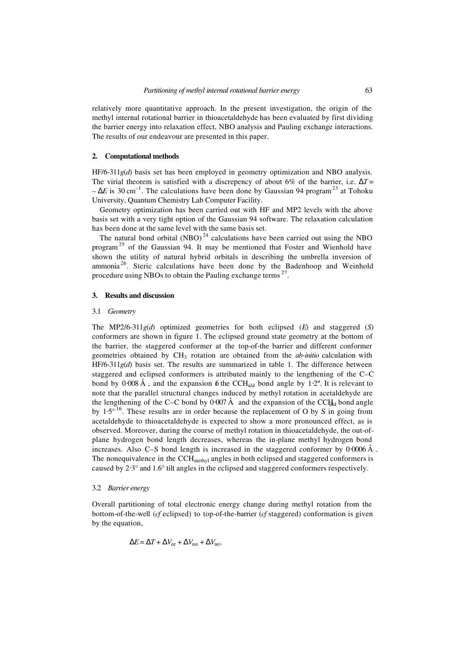relatively more quantitative approach. In the present investigation, the origin of the methyl internal rotational barrier in thioacetaldehyde has been evaluated by first dividing the barrier energy into relaxation effect, NBO analysis and Pauling exchange interactions. The results of our endeavour are presented in this paper.

### **2. Computational methods**

HF/6-311*g*(*d*) basis set has been employed in geometry optimization and NBO analysis. The virial theorem is satisfied with a discrepency of about 6% of the barrier, i.e.  $\Delta T =$  $-\Delta E$  is 30 cm<sup>-1</sup>. The calculations have been done by Gaussian 94 program<sup>23</sup> at Tohoku University, Quantum Chemistry Lab Computer Facility.

Geometry optimization has been carried out with HF and MP2 levels with the above basis set with a very tight option of the Gaussian 94 software. The relaxation calculation has been done at the same level with the same basis set.

The natural bond orbital  $(NBO)^{24}$  calculations have been carried out using the NBO program<sup>25</sup> of the Gaussian 94. It may be mentioned that Foster and Wienhold have shown the utility of natural hybrid orbitals in describing the umbrella inversion of ammonia<sup>26</sup>. Steric calculations have been done by the Badenhoop and Weinhold procedure using NBOs to obtain the Pauling exchange terms<sup>27</sup>.

### **3. Results and discussion**

#### 3.1 *Geometry*

The MP2/6-311*g*(*d*) optimized geometries for both eclipsed (*E*) and staggered (*S*) conformers are shown in figure 1. The eclipsed ground state geometry at the bottom of the barrier, the staggered conformer at the top-of-the barrier and different conformer geometries obtained by CH3 rotation are obtained from the *ab-initio* calculation with HF/6-311*g*(*d*) basis set. The results are summarized in table 1. The difference between staggered and eclipsed conformers is attributed mainly to the lengthening of the C–C bond by 0⋅008 Å, and the expansion 6 the CCH<sub>ald</sub> bond angle by 1⋅2°. It is relevant to note that the parallel structural changes induced by methyl rotation in acetaldehyde are the lengthening of the C–C bond by 0⋅007 Å and the expansion of the CCH<sub>d</sub>d bond angle by  $1.5^{\circ}$ <sup>16</sup>. These results are in order because the replacement of O by S in going from acetaldehyde to thioacetaldehyde is expected to show a more pronounced effect, as is observed. Moreover, during the course of methyl rotation in thioacetaldehyde, the out-ofplane hydrogen bond length decreases, whereas the in-plane methyl hydrogen bond increases. Also C–S bond length is increased in the staggered conformer by 0⋅0006 Å . The nonequivalence in the  $CCH<sub>methyl</sub>$  angles in both eclipsed and staggered conformers is caused by 2⋅3° and 1.6° tilt angles in the eclipsed and staggered conformers respectively.

### 3.2 *Barrier energy*

Overall partitioning of total electronic energy change during methyl rotation from the bottom-of-the-well (*cf* eclipsed) to top-of-the-barrier (*cf* staggered) conformation is given by the equation,

$$
\Delta E = \Delta T + \Delta V_{ee} + \Delta V_{nn} + \Delta V_{ne},
$$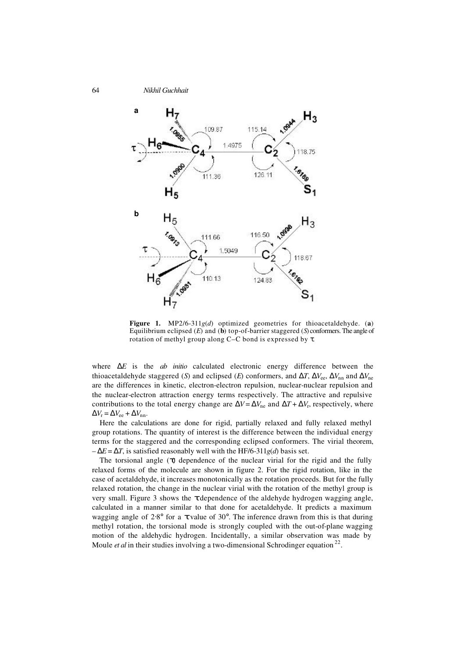

**Figure 1.** MP2/6-311*g*(*d*) optimized geometries for thioacetaldehyde. (**a**) Equilibrium eclipsed (*E*) and (**b**) top-of-barrier staggered (*S*) conformers. The angle of rotation of methyl group along C–C bond is expressed by τ.

where ∆*E* is the *ab initio* calculated electronic energy difference between the thioacetaldehyde staggered (*S*) and eclipsed (*E*) conformers, and  $\Delta T$ ,  $\Delta V_{ee}$ ,  $\Delta V_{nn}$  and  $\Delta V_{ne}$ are the differences in kinetic, electron-electron repulsion, nuclear-nuclear repulsion and the nuclear-electron attraction energy terms respectively. The attractive and repulsive contributions to the total energy change are  $\Delta V = \Delta V_{\text{ne}}$  and  $\Delta T + \Delta V_{\text{r}}$ , respectively, where  $\Delta V_{\rm r} = \Delta V_{\rm ee} + \Delta V_{\rm nn}$ .

Here the calculations are done for rigid, partially relaxed and fully relaxed methyl group rotations. The quantity of interest is the difference between the individual energy terms for the staggered and the corresponding eclipsed conformers. The virial theorem,  $-\Delta E = \Delta T$ , is satisfied reasonably well with the HF/6-311*g(d)* basis set.

The torsional angle  $(\tau)$  dependence of the nuclear virial for the rigid and the fully relaxed forms of the molecule are shown in figure 2. For the rigid rotation, like in the case of acetaldehyde, it increases monotonically as the rotation proceeds. But for the fully relaxed rotation, the change in the nuclear virial with the rotation of the methyl group is very small. Figure 3 shows the  $\tau$  dependence of the aldehyde hydrogen wagging angle, calculated in a manner similar to that done for acetaldehyde. It predicts a maximum wagging angle of 2⋅8° for a  $\tau$  value of 30°. The inference drawn from this is that during methyl rotation, the torsional mode is strongly coupled with the out-of-plane wagging motion of the aldehydic hydrogen. Incidentally, a similar observation was made by Moule *et al* in their studies involving a two-dimensional Schrodinger equation<sup>22</sup>.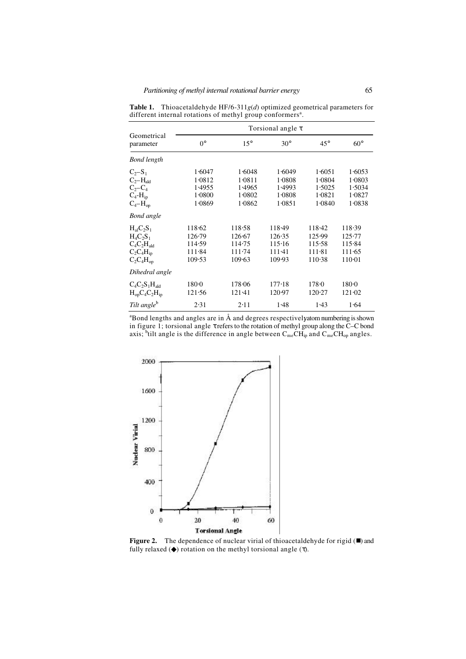|                                                                                             |                                                |                                                | Torsional angle $\tau$                         |                                                |                                                |
|---------------------------------------------------------------------------------------------|------------------------------------------------|------------------------------------------------|------------------------------------------------|------------------------------------------------|------------------------------------------------|
| Geometrical<br>parameter                                                                    | $0^{\circ}$                                    | $15^{\circ}$                                   | $30^\circ$                                     | $45^{\circ}$                                   | $60^\circ$                                     |
| <b>Bond length</b>                                                                          |                                                |                                                |                                                |                                                |                                                |
| $C_2 - S_1$<br>$C_2-H_{\text{ald}}$<br>$C_2-C_4$<br>$C_4$ - $H_{ip}$<br>$C_4-H_{op}$        | 1.6047<br>1.0812<br>1.4955<br>1.0800<br>1.0869 | 1.6048<br>1.0811<br>1.4965<br>1.0802<br>1.0862 | 1.6049<br>1.0808<br>1.4993<br>1.0808<br>1.0851 | 1.6051<br>1.0804<br>1.5025<br>1.0821<br>1.0840 | 1.6053<br>1.0803<br>1.5034<br>1.0827<br>1.0838 |
| <b>Bond</b> angle                                                                           |                                                |                                                |                                                |                                                |                                                |
| $H_{al}C_2S_1$<br>$H_4C_2S_1$<br>$C_4C_2H_{\text{ald}}$<br>$C_2C_4H_{ip}$<br>$C_2C_4H_{op}$ | 118.62<br>126.79<br>114.59<br>111.84<br>109.53 | 118.58<br>126.67<br>114.75<br>111.74<br>109.63 | 118.49<br>126.35<br>115.16<br>111.41<br>109.93 | 118.42<br>125.99<br>115.58<br>111.81<br>110.38 | 118.39<br>125.77<br>115.84<br>111.65<br>110.01 |
| Dihedral angle                                                                              |                                                |                                                |                                                |                                                |                                                |
| $C_4C_2S_1H_{\text{ald}}$<br>$H_{op}C_4C_2H_{ip}$                                           | 180.0<br>121.56                                | 178.06<br>121.41                               | 177.18<br>120.97                               | 178.0<br>120.27                                | 180.0<br>121.02                                |
| Tilt angle <sup>b</sup>                                                                     | 2.31                                           | 2.11                                           | 1.48                                           | 1.43                                           | 1.64                                           |

**Table 1.** Thioacetaldehyde HF/6-311*g*(*d*) optimized geometrical parameters for different internal rotations of methyl group conformers<sup>a</sup>.

 $a^2$ Bond lengths and angles are in Å and degrees respectivelyatom numbering is shown in figure 1; torsional angle τ refers to the rotation of methyl group along the C–C bond axis; <sup>b</sup>tilt angle is the difference in angle between  $C_{me}CH_{ip}$  and  $C_{me}CH_{op}$  angles.



Figure 2. The dependence of nuclear virial of thioacetaldehyde for rigid ( $\blacksquare$ ) and fully relaxed  $(\blacklozenge)$  rotation on the methyl torsional angle  $(\tau)$ .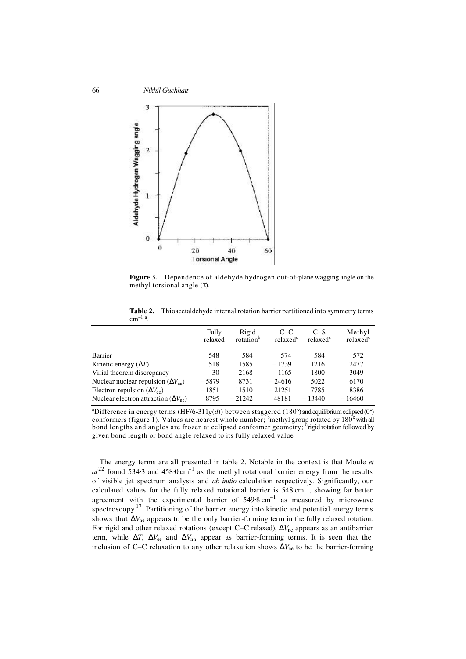

**Figure 3.** Dependence of aldehyde hydrogen out-of-plane wagging angle on the methyl torsional angle  $(\tau)$ .

**Table 2.** Thioacetaldehyde internal rotation barrier partitioned into symmetry terms  $cm^{-1}$ <sup>a</sup>.

|                                                                                              | Fully<br>relaxed | Rigid<br>rotation <sup>b</sup> | $C-C$<br>relaxed <sup>c</sup> | $C-S$<br>relaxed <sup>c</sup> | Methyl<br>relaxed <sup>c</sup> |
|----------------------------------------------------------------------------------------------|------------------|--------------------------------|-------------------------------|-------------------------------|--------------------------------|
| Barrier                                                                                      | 548              | 584                            | 574                           | 584                           | 572                            |
| Kinetic energy $(\Delta T)$                                                                  | 518              | 1585                           | $-1739$                       | 1216                          | 2477                           |
| Virial theorem discrepancy                                                                   | 30               | 2168                           | $-1165$                       | 1800                          | 3049                           |
| Nuclear nuclear repulsion $(\Delta V_{nn})$                                                  | $-5879$          | 8731                           | $-24616$                      | 5022                          | 6170                           |
| Electron repulsion $(\Delta V_{ee})$<br>Nuclear electron attraction $(\Delta V_{\text{ne}})$ | $-1851$<br>8795  | 11510<br>$-21242$              | $-21251$<br>48181             | 7785<br>$-13440$              | 8386<br>$-16460$               |

<sup>a</sup>Difference in energy terms (HF/6-311*g*(*d*)) between staggered (180°) and equilibrium eclipsed (0°) conformers (figure 1). Values are nearest whole number; <sup>b</sup>methyl group rotated by 180° with all bond lengths and angles are frozen at eclipsed conformer geometry; <sup>c</sup>rigid rotation followed by given bond length or bond angle relaxed to its fully relaxed value

The energy terms are all presented in table 2. Notable in the context is that Moule *et*   $al^{22}$  found 534⋅3 and 458⋅0 cm<sup>-1</sup> as the methyl rotational barrier energy from the results of visible jet spectrum analysis and *ab initio* calculation respectively. Significantly, our calculated values for the fully relaxed rotational barrier is  $548 \text{ cm}^{-1}$ , showing far better agreement with the experimental barrier of  $549.8 \text{ cm}^{-1}$  as measured by microwave spectroscopy  $17$ . Partitioning of the barrier energy into kinetic and potential energy terms shows that ∆*V*ne appears to be the only barrier-forming term in the fully relaxed rotation. For rigid and other relaxed rotations (except C–C relaxed), ∆*V*ne appears as an antibarrier term, while Δ*T*, Δ*V*<sub>ee</sub> and Δ*V*<sub>nn</sub> appear as barrier-forming terms. It is seen that the inclusion of C–C relaxation to any other relaxation shows ∆*V*ne to be the barrier-forming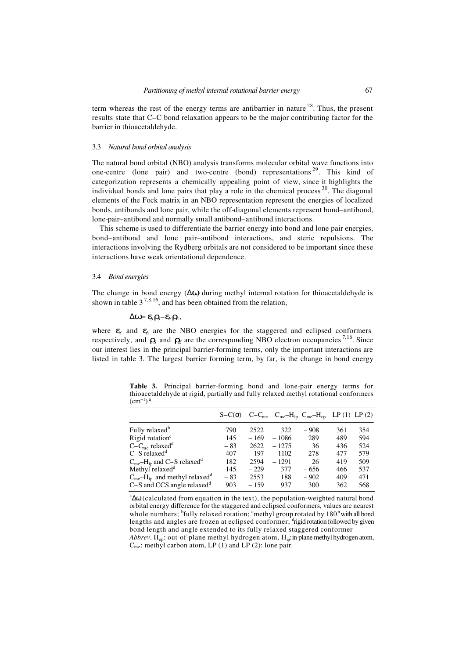term whereas the rest of the energy terms are antibarrier in nature  $28$ . Thus, the present results state that C–C bond relaxation appears to be the major contributing factor for the barrier in thioacetaldehyde.

### 3.3 *Natural bond orbital analysis*

The natural bond orbital (NBO) analysis transforms molecular orbital wave functions into one-centre (lone pair) and two-centre (bond) representations  $2^9$ . This kind of categorization represents a chemically appealing point of view, since it highlights the individual bonds and lone pairs that play a role in the chemical process  $30$ . The diagonal elements of the Fock matrix in an NBO representation represent the energies of localized bonds, antibonds and lone pair, while the off-diagonal elements represent bond–antibond, lone-pair–antibond and normally small antibond–antibond interactions.

This scheme is used to differentiate the barrier energy into bond and lone pair energies, bond–antibond and lone pair–antibond interactions, and steric repulsions. The interactions involving the Rydberg orbitals are not considered to be important since these interactions have weak orientational dependence.

#### 3.4 *Bond energies*

The change in bond energy (∆ω) during methyl internal rotation for thioacetaldehyde is shown in table  $3^{7,8,16}$ , and has been obtained from the relation,

# ∆ω= ε*S*ρ*S–*ε*E*ρ*E*,

where  $\varepsilon_s$  and  $\varepsilon_t$  are the NBO energies for the staggered and eclipsed conformers respectively, and  $\rho_s$  and  $\rho_E$  are the corresponding NBO electron occupancies<sup>7,16</sup>. Since our interest lies in the principal barrier-forming terms, only the important interactions are listed in table 3. The largest barrier forming term, by far, is the change in bond energy

**Table 3.** Principal barrier-forming bond and lone-pair energy terms for thioacetaldehyde at rigid, partially and fully relaxed methyl rotational conformers  $(cm^{-1})^a.$ 

|                                                        | $S-C(\sigma)$ |        | $C-C_{me}$ $C_{me}-H_{ip}$ $C_{me}-H_{op}$ LP (1) LP (2) |        |     |     |
|--------------------------------------------------------|---------------|--------|----------------------------------------------------------|--------|-----|-----|
| Fully relaxed <sup>b</sup>                             | 790           | 2522   | 322                                                      | $-908$ | 361 | 354 |
| Rigid rotation <sup>c</sup>                            | 145           | $-169$ | $-1086$                                                  | 289    | 489 | 594 |
| $C-Cme$ relaxed <sup>d</sup>                           | $-83$         | 2622   | $-1275$                                                  | 36     | 436 | 524 |
| $C-S$ relaxed <sup><math>d</math></sup>                | 407           | $-197$ | $-1102$                                                  | 278    | 477 | 579 |
| $C_{me}$ -H <sub>ip</sub> and C-S relaxed <sup>d</sup> | 182           | 2594   | $-1291$                                                  | 26     | 419 | 509 |
| Methyl relaxed <sup>d</sup>                            | 145           | $-229$ | 377                                                      | $-656$ | 466 | 537 |
| $C_{me}$ – $H_{ip}$ and methyl relaxed <sup>d</sup>    | $-83$         | 2553   | 188                                                      | $-902$ | 409 | 471 |
| $C-S$ and CCS angle relaxed $d$                        | 903           | $-159$ | 937                                                      | 300    | 362 | 568 |

<sup>a</sup>∆ω (calculated from equation in the text), the population-weighted natural bond orbital energy difference for the staggered and eclipsed conformers, values are nearest whole numbers; <sup>b</sup>fully relaxed rotation; <sup>c</sup>methyl group rotated by 180° with all bond lengths and angles are frozen at eclipsed conformer;  $d$ rigid rotation followed by given bond length and angle extended to its fully relaxed staggered conformer *Abbrev*. H<sub>op</sub>: out-of-plane methyl hydrogen atom, H<sub>ip</sub>: in-plane methyl hydrogen atom,  $C_{\text{me}}$ : methyl carbon atom, LP (1) and LP (2): lone pair.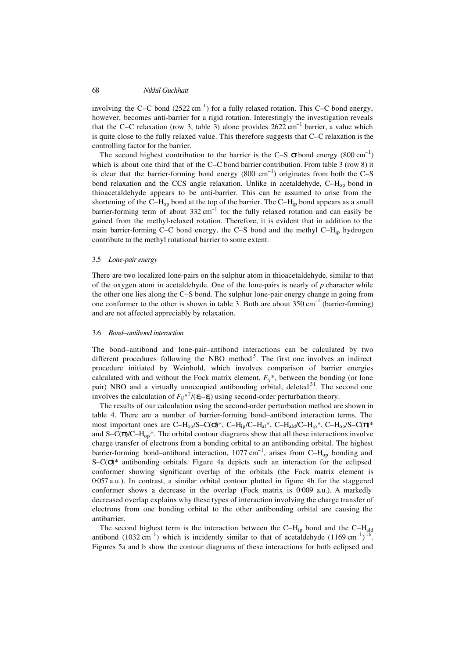involving the C–C bond  $(2522 \text{ cm}^{-1})$  for a fully relaxed rotation. This C–C bond energy, however, becomes anti-barrier for a rigid rotation. Interestingly the investigation reveals that the C–C relaxation (row 3, table 3) alone provides  $2622 \text{ cm}^{-1}$  barrier, a value which is quite close to the fully relaxed value. This therefore suggests that C–C relaxation is the controlling factor for the barrier.

The second highest contribution to the barrier is the C-S  $\sigma$  bond energy (800 cm<sup>-1</sup>) which is about one third that of the C–C bond barrier contribution. From table 3 (row 8) it is clear that the barrier-forming bond energy  $(800 \text{ cm}^{-1})$  originates from both the C–S bond relaxation and the CCS angle relaxation. Unlike in acetaldehyde, C-H<sub>op</sub> bond in thioacetaldehyde appears to be anti-barrier. This can be assumed to arise from the shortening of the  $C-H_{op}$  bond at the top of the barrier. The  $C-H_{ip}$  bond appears as a small barrier-forming term of about  $332 \text{ cm}^{-1}$  for the fully relaxed rotation and can easily be gained from the methyl-relaxed rotation. Therefore, it is evident that in addition to the main barrier-forming C–C bond energy, the C–S bond and the methyl  $C-H_{in}$  hydrogen contribute to the methyl rotational barrier to some extent.

## 3.5 *Lone-pair energy*

There are two localized lone-pairs on the sulphur atom in thioacetaldehyde, similar to that of the oxygen atom in acetaldehyde. One of the lone-pairs is nearly of *p* character while the other one lies along the C–S bond. The sulphur lone-pair energy change in going from one conformer to the other is shown in table 3. Both are about  $350 \text{ cm}^{-1}$  (barrier-forming) and are not affected appreciably by relaxation.

#### 3.6 *Bond–antibond interaction*

The bond–antibond and lone-pair–antibond interactions can be calculated by two different procedures following the NBO method<sup>5</sup>. The first one involves an indirect procedure initiated by Weinhold, which involves comparison of barrier energies calculated with and without the Fock matrix element,  $F_{ij}^*$ , between the bonding (or lone pair) NBO and a virtually unoccupied antibonding orbital, deleted  $31$ . The second one involves the calculation of  $F_{ij}^{*2}/(\epsilon_i-\epsilon_j)$  using second-order perturbation theory.

The results of our calculation using the second-order perturbation method are shown in table 4. There are a number of barrier-forming bond–antibond interaction terms. The most important ones are C–H<sub>op</sub>/S–C( $\sigma$ )\*, C–H<sub>ip</sub>/C–H<sub>al</sub>\*, C–H<sub>ald</sub>/C–H<sub>ip</sub>\*, C–H<sub>op</sub>/S–C( $\pi$ )\* and  $S-C(\pi/C-H_{on}^*$ . The orbital contour diagrams show that all these interactions involve charge transfer of electrons from a bonding orbital to an antibonding orbital. The highest barrier-forming bond–antibond interaction,  $1077 \text{ cm}^{-1}$ , arises from C–H<sub>op</sub> bonding and S–C(σ)\* antibonding orbitals. Figure 4a depicts such an interaction for the eclipsed conformer showing significant overlap of the orbitals (the Fock matrix element is 0⋅057 a.u.). In contrast, a similar orbital contour plotted in figure 4b for the staggered conformer shows a decrease in the overlap (Fock matrix is 0⋅009 a.u.). A markedly decreased overlap explains why these types of interaction involving the charge transfer of electrons from one bonding orbital to the other antibonding orbital are causing the antibarrier.

The second highest term is the interaction between the  $C-H_{ip}$  bond and the  $C-H_{ald}$ antibond  $(1032 \text{ cm}^{-1})$  which is incidently similar to that of acetaldehyde  $(1169 \text{ cm}^{-1})^{16}$ . Figures 5a and b show the contour diagrams of these interactions for both eclipsed and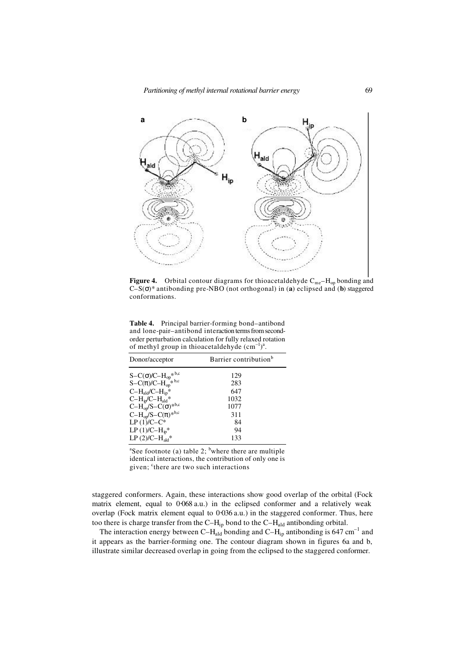*Partitioning of methyl internal rotational barrier energy* 69



**Figure 4.** Orbital contour diagrams for thioacetaldehyde  $C_{me} - H_{op}$  bonding and C–S(σ)\* antibonding pre-NBO (not orthogonal) in (**a**) eclipsed and (**b**) staggered conformations.

**Table 4.** Principal barrier-forming bond–antibond and lone-pair–antibond interaction terms from secondorder perturbation calculation for fully relaxed rotation of methyl group in thioacetal dehyde  $(cm^{-1})^a$ .

| Donor/acceptor                                                                  | Barrier contribution <sup>b</sup> |
|---------------------------------------------------------------------------------|-----------------------------------|
|                                                                                 | 129                               |
| $S-C(\sigma)/C-H_{op}^{*b,c}$<br>S-C( $\pi$ )/C-H <sub>op</sub> <sup>*b,c</sup> | 283                               |
| $C-H_{\text{ald}}/C-H_{\text{ip}}*$                                             | 647                               |
| $C-H_{ip}/C-H_{ald}*$                                                           | 1032                              |
| $C-H_{op}S-C(\sigma)^{*b,c}$                                                    | 1077                              |
| $C-H_{op}/S-C(\pi)^{*b,c}$                                                      | 311                               |
| $LP(1) / C - C^*$                                                               | 84                                |
| $LP(1)/C-H_{ip}^*$                                                              | 94                                |
| LP $(2)/C-H_{\text{ald}}$ *                                                     | 133                               |

<sup>a</sup>See footnote (a) table 2; <sup>b</sup>where there are multiple identical interactions, the contribution of only one is given; <sup>c</sup>there are two such interactions

staggered conformers. Again, these interactions show good overlap of the orbital (Fock matrix element, equal to 0⋅068 a.u.) in the eclipsed conformer and a relatively weak overlap (Fock matrix element equal to 0⋅036 a.u.) in the staggered conformer. Thus, here too there is charge transfer from the C–H<sub>ip</sub> bond to the C–H<sub>ald</sub> antibonding orbital.

The interaction energy between C– $H_{\text{ald}}$  bonding and C– $H_{\text{ip}}$  antibonding is 647 cm<sup>-1</sup> and it appears as the barrier-forming one. The contour diagram shown in figures 6a and b, illustrate similar decreased overlap in going from the eclipsed to the staggered conformer.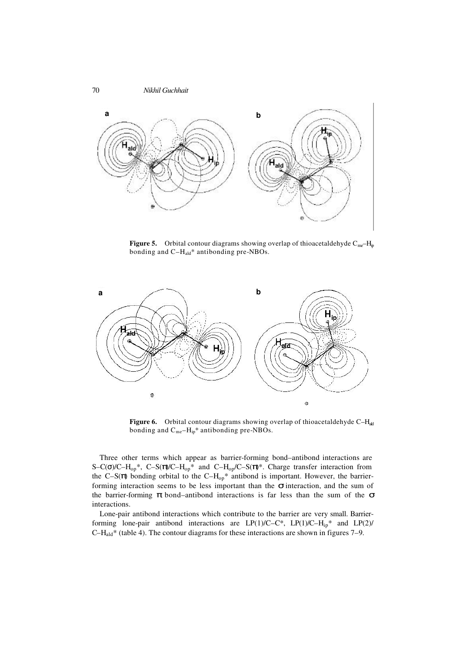

**Figure 5.** Orbital contour diagrams showing overlap of thioacetaldehyde  $C_{me}$ – $H_p$ bonding and C-H<sub>ald</sub>\* antibonding pre-NBOs.



Figure 6. Orbital contour diagrams showing overlap of thioacetaldehyde C-H<sub>ald</sub> bonding and  $C_{me}-H_{ip}$ <sup>\*</sup> antibonding pre-NBOs.

Three other terms which appear as barrier-forming bond–antibond interactions are S–C( $\sigma$ )/C–H<sub>op</sub>\*, C–S( $\pi$ )/C–H<sub>op</sub>\* and C–H<sub>op</sub>/C–S( $\pi$ )<sup>\*</sup>. Charge transfer interaction from the C–S( $\pi$ ) bonding orbital to the C–H<sub>op</sub>\* antibond is important. However, the barrierforming interaction seems to be less important than the  $\sigma$  interaction, and the sum of the barrier-forming  $\pi$  bond–antibond interactions is far less than the sum of the  $\sigma$ interactions.

Lone-pair antibond interactions which contribute to the barrier are very small. Barrierforming lone-pair antibond interactions are LP(1)/C–C\*, LP(1)/C–H<sub>ip</sub>\* and LP(2)/  $C-H<sub>ald</sub>$ <sup>\*</sup> (table 4). The contour diagrams for these interactions are shown in figures 7–9.

70 *Nikhil Guchhait*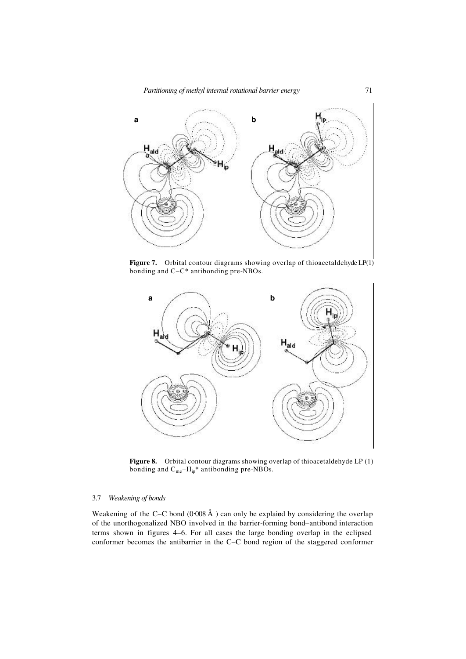

**Figure 7.** Orbital contour diagrams showing overlap of thioacetaldehyde LP(1) bonding and C–C\* antibonding pre-NBOs.



Figure 8. Orbital contour diagrams showing overlap of thioacetaldehyde LP (1) bonding and  $C_{me}-H_{ip}$ <sup>\*</sup> antibonding pre-NBOs.

### 3.7 *Weakening of bonds*

Weakening of the C–C bond  $(0.008 \text{ Å})$  can only be explained by considering the overlap of the unorthogonalized NBO involved in the barrier-forming bond–antibond interaction terms shown in figures 4–6. For all cases the large bonding overlap in the eclipsed conformer becomes the antibarrier in the C–C bond region of the staggered conformer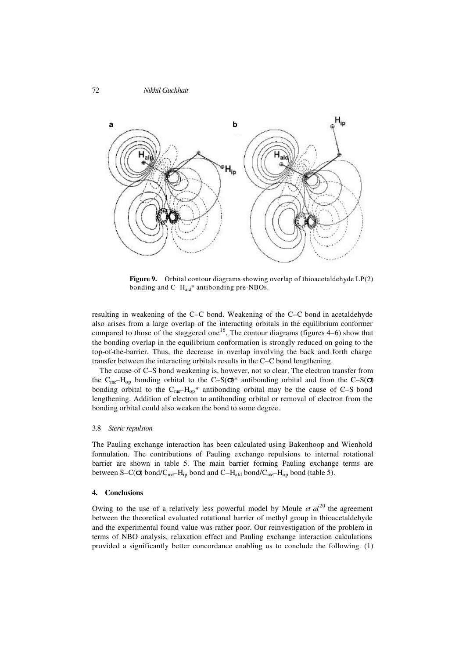

**Figure 9.** Orbital contour diagrams showing overlap of thioacetaldehyde LP(2) bonding and  $C-H_{\text{ald}}^*$  antibonding pre-NBOs.

resulting in weakening of the C–C bond. Weakening of the C–C bond in acetaldehyde also arises from a large overlap of the interacting orbitals in the equilibrium conformer compared to those of the staggered one<sup>16</sup>. The contour diagrams (figures  $4-6$ ) show that the bonding overlap in the equilibrium conformation is strongly reduced on going to the top-of-the-barrier. Thus, the decrease in overlap involving the back and forth charge transfer between the interacting orbitals results in the C–C bond lengthening.

The cause of C–S bond weakening is, however, not so clear. The electron transfer from the C<sub>me</sub>–H<sub>op</sub> bonding orbital to the C–S( $\sigma$ )\* antibonding orbital and from the C–S( $\sigma$ ) bonding orbital to the  $C_{me}-H_{op}$ <sup>\*</sup> antibonding orbital may be the cause of C–S bond lengthening. Addition of electron to antibonding orbital or removal of electron from the bonding orbital could also weaken the bond to some degree.

### 3.8 *Steric repulsion*

The Pauling exchange interaction has been calculated using Bakenhoop and Wienhold formulation. The contributions of Pauling exchange repulsions to internal rotational barrier are shown in table 5. The main barrier forming Pauling exchange terms are between S–C( $\sigma$ ) bond/C<sub>me</sub>–H<sub>ip</sub> bond and C–H<sub>ald</sub> bond/C<sub>me</sub>–H<sub>op</sub> bond (table 5).

# **4. Conclusions**

Owing to the use of a relatively less powerful model by Moule *et al*<sup>20</sup> the agreement between the theoretical evaluated rotational barrier of methyl group in thioacetaldehyde and the experimental found value was rather poor. Our reinvestigation of the problem in terms of NBO analysis, relaxation effect and Pauling exchange interaction calculations provided a significantly better concordance enabling us to conclude the following. (1)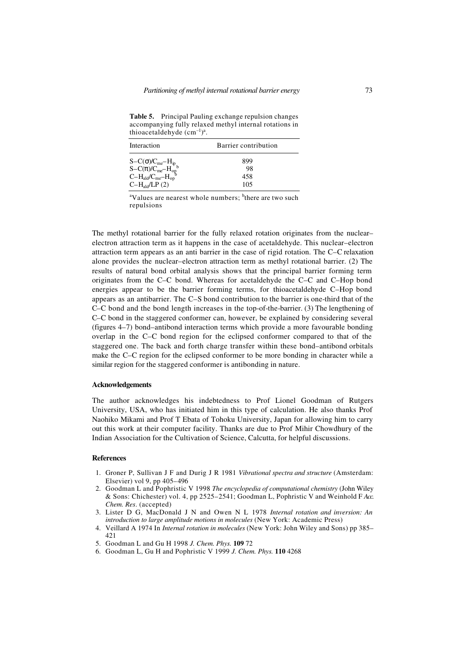**Table 5.** Principal Pauling exchange repulsion changes accompanying fully relaxed methyl internal rotations in thioacetaldehyde  $(cm^{-1})^a$ .

| Interaction                                                                                                                         | Barrier contribution |  |  |
|-------------------------------------------------------------------------------------------------------------------------------------|----------------------|--|--|
|                                                                                                                                     | 899                  |  |  |
|                                                                                                                                     | 98                   |  |  |
| $\begin{array}{l} S{-}C(\sigma) / C_{me}{-}H_{ip} \\ S{-}C(\pi) / C_{me}{-}H_{op}^b \\ C{-}H_{ald} / C_{me}{-}H_{op}^b \end{array}$ | 458                  |  |  |
| $C-Hald/LP(2)$                                                                                                                      | 105                  |  |  |

<sup>a</sup>Values are nearest whole numbers; <sup>b</sup>there are two such repulsions

The methyl rotational barrier for the fully relaxed rotation originates from the nuclear– electron attraction term as it happens in the case of acetaldehyde. This nuclear–electron attraction term appears as an anti barrier in the case of rigid rotation. The C–C relaxation alone provides the nuclear–electron attraction term as methyl rotational barrier. (2) The results of natural bond orbital analysis shows that the principal barrier forming term originates from the C–C bond. Whereas for acetaldehyde the C–C and C–Hop bond energies appear to be the barrier forming terms, for thioacetaldehyde C–Hop bond appears as an antibarrier. The C–S bond contribution to the barrier is one-third that of the C–C bond and the bond length increases in the top-of-the-barrier. (3) The lengthening of C–C bond in the staggered conformer can, however, be explained by considering several (figures 4–7) bond–antibond interaction terms which provide a more favourable bonding overlap in the C–C bond region for the eclipsed conformer compared to that of the staggered one. The back and forth charge transfer within these bond–antibond orbitals make the C–C region for the eclipsed conformer to be more bonding in character while a similar region for the staggered conformer is antibonding in nature.

#### **Acknowledgements**

The author acknowledges his indebtedness to Prof Lionel Goodman of Rutgers University, USA, who has initiated him in this type of calculation. He also thanks Prof Naohiko Mikami and Prof T Ebata of Tohoku University, Japan for allowing him to carry out this work at their computer facility. Thanks are due to Prof Mihir Chowdhury of the Indian Association for the Cultivation of Science, Calcutta, for helpful discussions.

### **References**

- 1. Groner P, Sullivan J F and Durig J R 1981 *Vibrational spectra and structure* (Amsterdam: Elsevier) vol 9, pp 405–496
- 2. Goodman L and Pophristic V 1998 *The encyclopedia of computational chemistry* (John Wiley & Sons: Chichester) vol. 4, pp 2525–2541; Goodman L, Pophristic V and Weinhold F *Acc. Chem. Res*. (accepted)
- 3. Lister D G, MacDonald J N and Owen N L 1978 *Internal rotation and inversion: An introduction to large amplitude motions in molecules* (New York: Academic Press)
- 4. Veillard A 1974 In *Internal rotation in molecules* (New York: John Wiley and Sons) pp 385– 421
- 5. Goodman L and Gu H 1998 *J. Chem. Phys.* **109** 72
- 6. Goodman L, Gu H and Pophristic V 1999 *J. Chem. Phys.* **110** 4268